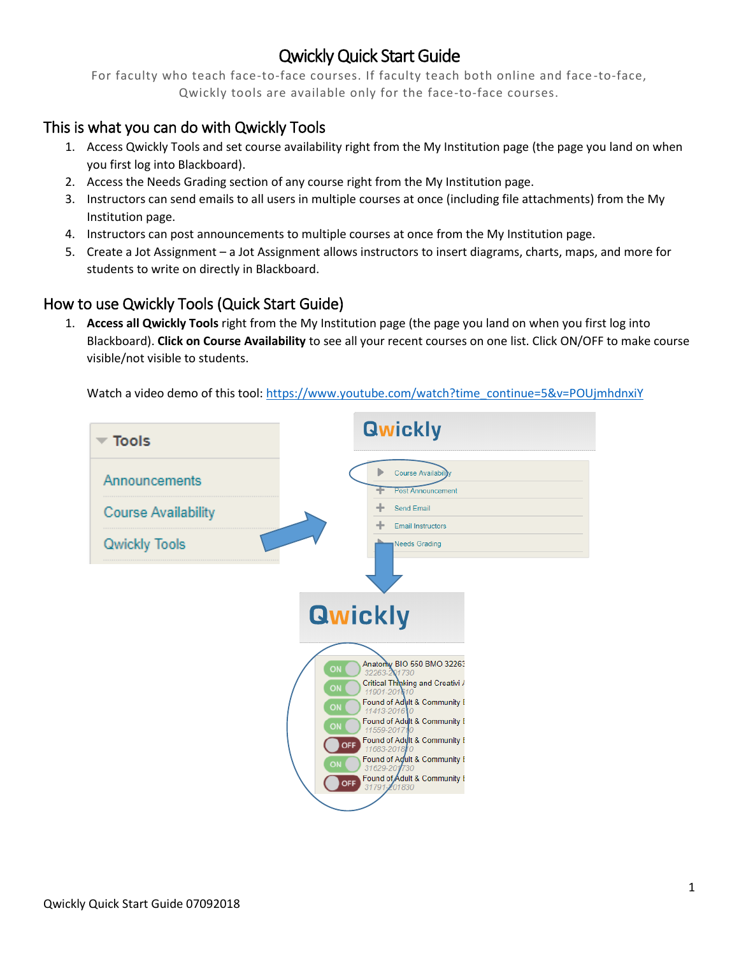## Qwickly Quick Start Guide

For faculty who teach face-to-face courses. If faculty teach both online and face -to-face, Qwickly tools are available only for the face-to-face courses.

## This is what you can do with Qwickly Tools

- 1. Access Qwickly Tools and set course availability right from the My Institution page (the page you land on when you first log into Blackboard).
- 2. Access the Needs Grading section of any course right from the My Institution page.
- 3. Instructors can send emails to all users in multiple courses at once (including file attachments) from the My Institution page.
- 4. Instructors can post announcements to multiple courses at once from the My Institution page.
- 5. Create a Jot Assignment a Jot Assignment allows instructors to insert diagrams, charts, maps, and more for students to write on directly in Blackboard.

## How to use Qwickly Tools (Quick Start Guide)

1. **Access all Qwickly Tools** right from the My Institution page (the page you land on when you first log into Blackboard). **Click on Course Availability** to see all your recent courses on one list. Click ON/OFF to make course visible/not visible to students.

Watch a video demo of this tool[: https://www.youtube.com/watch?time\\_continue=5&v=POUjmhdnxiY](https://www.youtube.com/watch?time_continue=5&v=POUjmhdnxiY)

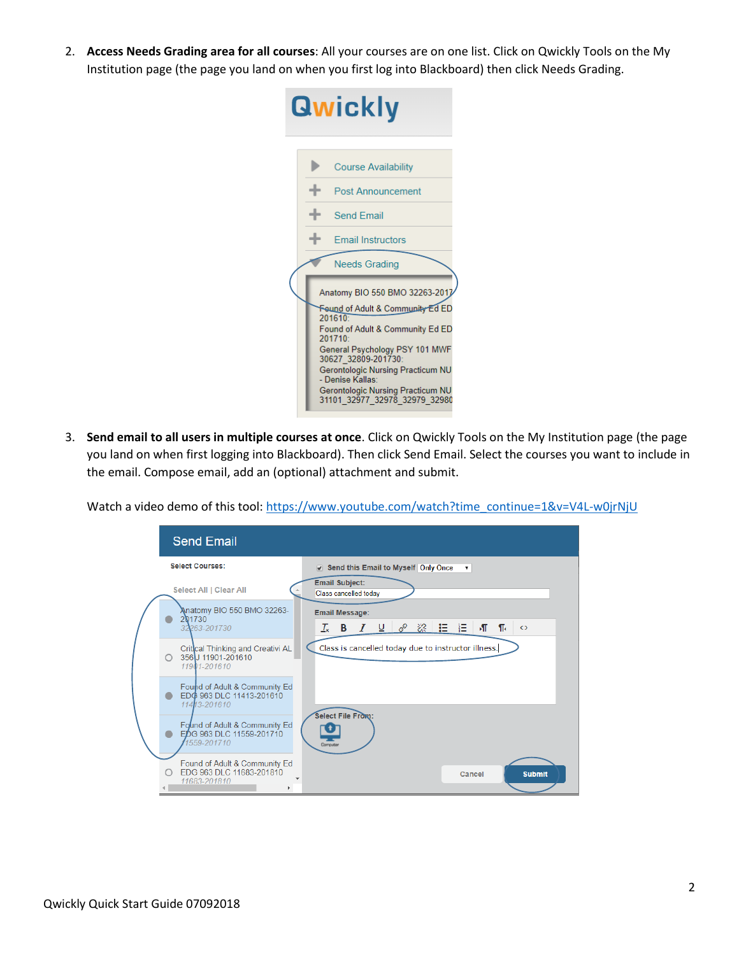2. **Access Needs Grading area for all courses**: All your courses are on one list. Click on Qwickly Tools on the My Institution page (the page you land on when you first log into Blackboard) then click Needs Grading.



3. **Send email to all users in multiple courses at once**. Click on Qwickly Tools on the My Institution page (the page you land on when first logging into Blackboard). Then click Send Email. Select the courses you want to include in the email. Compose email, add an (optional) attachment and submit.

Watch a video demo of this tool[: https://www.youtube.com/watch?time\\_continue=1&v=V4L-w0jrNjU](https://www.youtube.com/watch?time_continue=1&v=V4L-w0jrNjU)

|  |                        | <b>Send Email</b>                                                         |                                                                                                                        |
|--|------------------------|---------------------------------------------------------------------------|------------------------------------------------------------------------------------------------------------------------|
|  | <b>Select Courses:</b> |                                                                           | ✔ Send this Email to Myself Only Once                                                                                  |
|  | Select All   Clear All |                                                                           | <b>Email Subject:</b><br>Class cancelled today                                                                         |
|  |                        | Anatomy BIO 550 BMO 32263-<br>201730                                      | <b>Email Message:</b>                                                                                                  |
|  |                        | 32263-201730                                                              | $I_x$ B $I$ $\sqcup$ $\mathscr{P}$ $\mathscr{R}$ $\sqsubseteq$ $\sqsubseteq$ $\sqsubseteq$<br>打 乐<br>$\leftrightarrow$ |
|  | Ο.                     | Critical Thinking and Creativi AL<br>356 J 11901-201610<br>11901-201610   | Class is cancelled today due to instructor illness.                                                                    |
|  |                        | Found of Adult & Community Ed<br>EDG 963 DLC 11413-201610<br>11413-201610 |                                                                                                                        |
|  |                        | Found of Adult & Community Ed<br>EDG 963 DLC 11559-201710<br>1559-201710  | Select File From:<br>Computer                                                                                          |
|  |                        | Found of Adult & Community Ed<br>EDG 963 DLC 11683-201810<br>11683-201810 | <b>Submit</b><br>Cancel                                                                                                |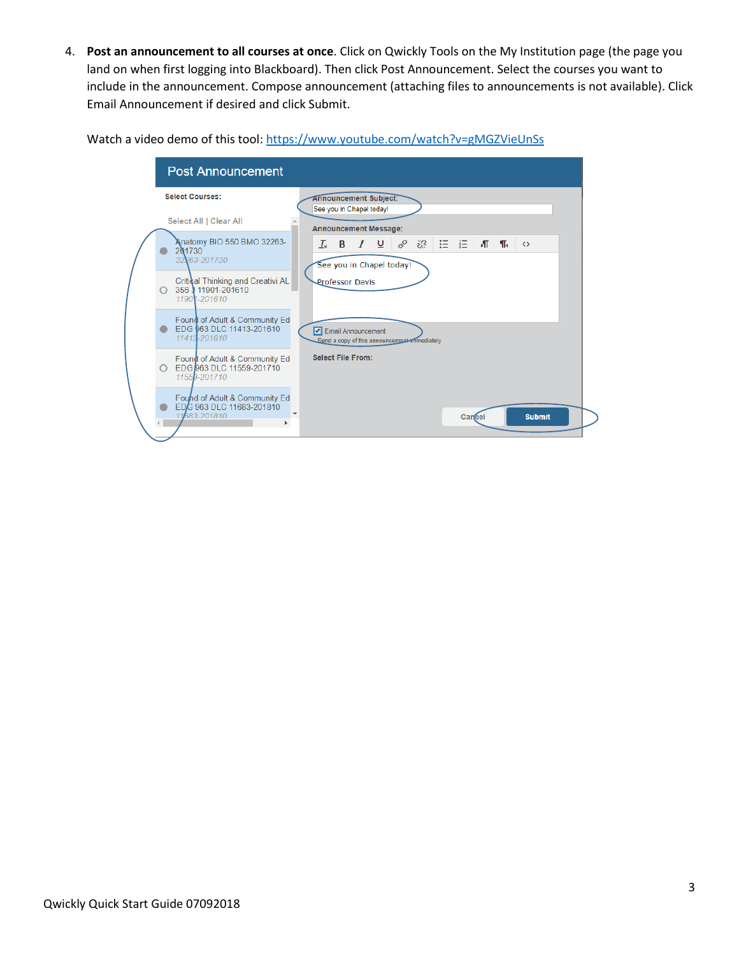4. **Post an announcement to all courses at once**. Click on Qwickly Tools on the My Institution page (the page you land on when first logging into Blackboard). Then click Post Announcement. Select the courses you want to include in the announcement. Compose announcement (attaching files to announcements is not available). Click Email Announcement if desired and click Submit.

Watch a video demo of this tool[: https://www.youtube.com/watch?v=gMGZVieUnSs](https://www.youtube.com/watch?v=gMGZVieUnSs)

| <b>Post Announcement</b>                                                  |                                                                                                                                        |  |  |
|---------------------------------------------------------------------------|----------------------------------------------------------------------------------------------------------------------------------------|--|--|
| <b>Select Courses:</b>                                                    | <b>Announcement Subject:</b><br>See you in Chapel today!                                                                               |  |  |
| Select All   Clear All                                                    | <b>Announcement Message:</b>                                                                                                           |  |  |
| Anatomy BIO 550 BMO 32263-<br>201730<br>32263-201730                      | $I$ $\cup$ $\vartheta$ $\gg$ $\equiv$ $\equiv$ $\blacksquare$ The<br>$T_{\star}$<br>B<br>$\leftrightarrow$<br>See you in Chapel today! |  |  |
| Critical Thinking and Creativi AL<br>356 11901-201610<br>11901-201610     | <b>Professor Davis</b>                                                                                                                 |  |  |
| Found of Adult & Community Ed<br>EDG 963 DLC 11413-201610<br>11413-201610 | Email Announcement<br>Send a copy of this announcement immediately                                                                     |  |  |
| Found of Adult & Community Ed<br>EDG 963 DLC 11559-201710<br>11559-201710 | <b>Select File From:</b>                                                                                                               |  |  |
| Found of Adult & Community Ed<br>EDG 963 DLC 11683-201810<br>11683-201810 | <b>Submit</b><br>Cance                                                                                                                 |  |  |